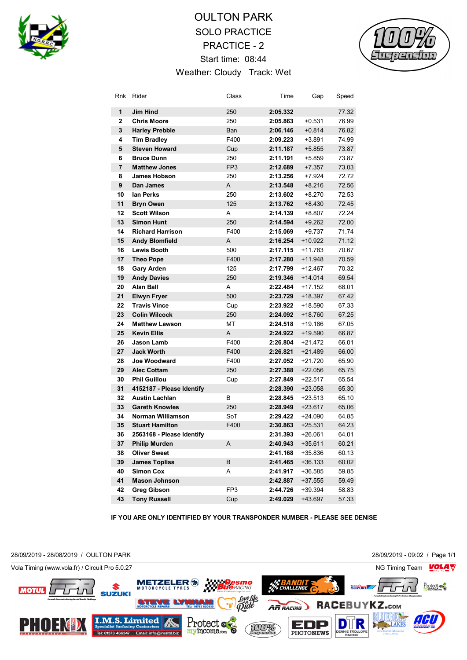

## OULTON PARK SOLO PRACTICE PRACTICE - 2 Start time: 08:44 Weather: Cloudy Track: Wet



| Rnk                 | Rider                                     | Class           | Time                 | Gap                  | Speed          |
|---------------------|-------------------------------------------|-----------------|----------------------|----------------------|----------------|
|                     |                                           |                 |                      |                      |                |
| 1<br>$\overline{2}$ | Jim Hind<br><b>Chris Moore</b>            | 250             | 2:05.332             |                      | 77.32          |
| 3                   | <b>Harley Prebble</b>                     | 250             | 2:05.863<br>2:06.146 | $+0.531$<br>$+0.814$ | 76.99<br>76.82 |
| 4                   | <b>Tim Bradley</b>                        | Ban<br>F400     | 2:09.223             | +3.891               | 74.99          |
| 5                   | <b>Steven Howard</b>                      |                 |                      |                      |                |
| 6                   | <b>Bruce Dunn</b>                         | Cup<br>250      | 2:11.187<br>2:11.191 | $+5.855$             | 73.87<br>73.87 |
| $\overline{7}$      | <b>Matthew Jones</b>                      | FP <sub>3</sub> | 2:12.689             | +5.859               | 73.03          |
| 8                   | <b>James Hobson</b>                       | 250             | 2:13.256             | +7.357<br>+7.924     | 72.72          |
| 9                   | Dan James                                 | A               | 2:13.548             | $+8.216$             | 72.56          |
| 10                  | lan Perks                                 | 250             | 2:13.602             | $+8.270$             | 72.53          |
| 11                  | <b>Bryn Owen</b>                          | 125             | 2:13.762             | $+8.430$             | 72.45          |
| 12                  | <b>Scott Wilson</b>                       | A               |                      |                      |                |
| 13                  | <b>Simon Hunt</b>                         |                 | 2:14.139             | $+8.807$             | 72.24          |
| 14                  | <b>Richard Harrison</b>                   | 250<br>F400     | 2:14.594<br>2:15.069 | $+9.262$<br>$+9.737$ | 72.00<br>71.74 |
| 15                  | <b>Andy Blomfield</b>                     | Α               |                      | +10.922              | 71.12          |
|                     | <b>Lewis Booth</b>                        |                 | 2:16.254             | $+11.783$            |                |
| 16<br>17            | <b>Theo Pope</b>                          | 500<br>F400     | 2:17.115<br>2:17.280 | +11.948              | 70.67<br>70.59 |
| 18                  |                                           | 125             | 2:17.799             | $+12.467$            | 70.32          |
| 19                  | <b>Gary Arden</b><br><b>Andy Davies</b>   | 250             | 2:19.346             | $+14.014$            | 69.54          |
| 20                  | <b>Alan Ball</b>                          | A               | 2:22.484             | +17.152              | 68.01          |
| 21                  |                                           | 500             | 2:23.729             | $+18.397$            | 67.42          |
| 22                  | <b>Elwyn Fryer</b><br><b>Travis Vince</b> |                 | 2:23.922             | +18.590              | 67.33          |
| 23                  | <b>Colin Wilcock</b>                      | Cup             |                      |                      |                |
| 24                  | <b>Matthew Lawson</b>                     | 250<br>МT       | 2:24.092<br>2:24.518 | +18.760<br>+19.186   | 67.25<br>67.05 |
| 25                  | <b>Kevin Ellis</b>                        | A               | 2:24.922             | +19.590              | 66.87          |
| 26                  | Jason Lamb                                | F400            | 2:26.804             | +21.472              | 66.01          |
| 27                  | <b>Jack Worth</b>                         | F400            | 2:26.821             | +21.489              | 66.00          |
| 28                  | Joe Woodward                              | F400            | 2:27.052             | +21.720              | 65.90          |
| 29                  | <b>Alec Cottam</b>                        | 250             | 2:27.388             | $+22.056$            | 65.75          |
| 30                  | <b>Phil Guillou</b>                       | Cup             | 2:27.849             | +22.517              | 65.54          |
| 31                  | 4152187 - Please Identify                 |                 | 2:28.390             | $+23.058$            | 65.30          |
| 32                  | <b>Austin Lachlan</b>                     | в               | 2:28.845             | +23.513              | 65.10          |
| 33                  | <b>Gareth Knowles</b>                     | 250             | 2:28.949             | $+23.617$            | 65.06          |
| 34                  | Norman Williamson                         | SoT             | 2:29.422             | +24.090              | 64.85          |
| 35                  | <b>Stuart Hamilton</b>                    | F400            | 2:30.863             | $+25.531$            | 64.23          |
| 36                  | 2563168 - Please Identify                 |                 | 2:31.393             | $+26.061$            | 64.01          |
| 37                  | <b>Philip Murden</b>                      | A               | 2:40.943             | $+35.611$            | 60.21          |
| 38                  | <b>Oliver Sweet</b>                       |                 | 2:41.168             | +35.836              | 60.13          |
| 39                  | <b>James Topliss</b>                      | B               | 2:41.465             | $+36.133$            | 60.02          |
| 40                  | <b>Simon Cox</b>                          | A               | 2:41.917             | $+36.585$            | 59.85          |
| 41                  | <b>Mason Johnson</b>                      |                 | 2:42.887             | $+37.555$            | 59.49          |
| 42                  | <b>Greg Gibson</b>                        | FP3             | 2:44.726             | +39.394              | 58.83          |
| 43                  | <b>Tony Russell</b>                       | Cup             | 2:49.029             | +43.697              | 57.33          |
|                     |                                           |                 |                      |                      |                |

**IF YOU ARE ONLY IDENTIFIED BY YOUR TRANSPONDER NUMBER - PLEASE SEE DENISE**

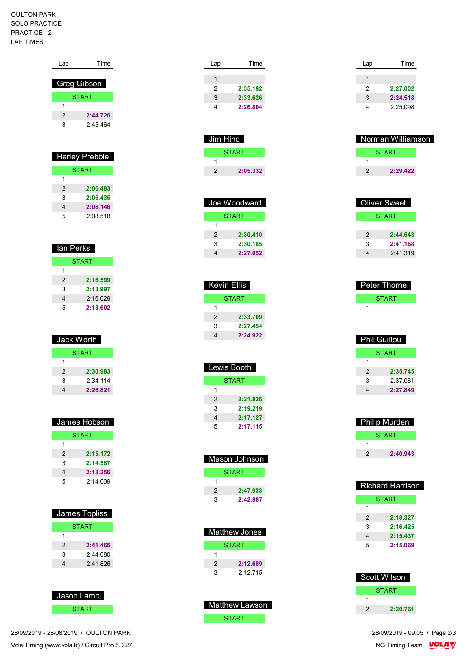## OULTON PARK SOLO PRACTICE PRACTICE - 2 LAP TIMES

|                | <b>Greg Gibson</b>    |
|----------------|-----------------------|
|                | START                 |
| 1              |                       |
| $\overline{2}$ | 2:44.726              |
| 3              | 2.45464               |
|                |                       |
|                |                       |
|                |                       |
|                |                       |
|                | <b>Harley Prebble</b> |
|                | <b>START</b>          |
| 1              |                       |
| $\overline{2}$ | 2:06.483              |
| 3              | 2:06.435              |
| 4              | 2:06.146              |

Lap Time

| lan Perks    |          |  |
|--------------|----------|--|
| <b>START</b> |          |  |
| 1            |          |  |
| 2            | 2:16.599 |  |
| 3            | 2:13.997 |  |
| 4            | 2:16.029 |  |
| 5            | 2:13.602 |  |

| Jack Worth    |            |
|---------------|------------|
| <b>START</b>  |            |
| 1             |            |
| $\mathcal{P}$ | 2:30.983   |
| 3             | $2.34$ 114 |
|               | 2:26.821   |

| James Hobson  |              |  |
|---------------|--------------|--|
|               | <b>START</b> |  |
| 1             |              |  |
| $\mathcal{P}$ | 2:15.172     |  |
| 3             | 2:14.587     |  |
| 4             | 2:13.256     |  |
| 5             | 2.14009      |  |

|   | James Topliss |
|---|---------------|
|   | <b>START</b>  |
|   |               |
| 2 | 2:41.465      |
| 3 | 2:44 080      |
| 4 | 2:41.826      |
|   |               |

## Jason Lamb **START**

28/09/2019 - 28/08/2019 / OULTON PARK

| Jim Hind     |
|--------------|
| <b>START</b> |
|              |
| 2:05.332     |
|              |

| Joe Woodward |          |  |
|--------------|----------|--|
| START        |          |  |
| 1            |          |  |
| 2            | 2:30.410 |  |
| 3            | 2:30.185 |  |
|              | 2:27.052 |  |

| Kevin Ellis   |          |  |
|---------------|----------|--|
| START         |          |  |
| 1             |          |  |
| $\mathcal{P}$ | 2:33.709 |  |
| 3             | 2:27.454 |  |
| 4             | 2:24.922 |  |

| Lewis Booth   |          |  |
|---------------|----------|--|
| START         |          |  |
| 1             |          |  |
| $\mathcal{P}$ | 2:21.826 |  |
| 3             | 2:19.219 |  |
| 4             | 2:17.127 |  |
| 5             | 2:17.115 |  |

| <b>Mason Johnson</b> |              |
|----------------------|--------------|
|                      | <b>START</b> |
|                      |              |
| 2                    | 2:47.938     |
| ว                    | 2:42.887     |

| Matthew Jones |          |  |
|---------------|----------|--|
| START         |          |  |
|               |          |  |
| 2             | 2:12.689 |  |
| 3             | 2.12715  |  |

| Matthew Lawson |  |
|----------------|--|
| <b>START</b>   |  |

| Lap | Time     |
|-----|----------|
|     |          |
| 2   | 2:27.002 |
|     |          |
| 3   | 2:24.518 |
|     | 2:25.098 |

| Norman Williamson |              |  |
|-------------------|--------------|--|
|                   | <b>START</b> |  |
|                   |              |  |
| 2                 | 2:29.422     |  |
|                   |              |  |

| Oliver Sweet |              |
|--------------|--------------|
|              | <b>START</b> |
|              |              |
| 2            | 2:44.643     |
| 3            | 2:41.168     |
|              | 2:41.319     |

| <b>Peter Thorne</b> |  |
|---------------------|--|
| <b>START</b>        |  |
|                     |  |

| <b>Phil Guillou</b> |          |  |
|---------------------|----------|--|
| START               |          |  |
| 1                   |          |  |
| 2                   | 2:35.745 |  |
| 3                   | 2:37.061 |  |
|                     | 2:27.849 |  |

| Philip Murden |              |  |
|---------------|--------------|--|
|               | <b>START</b> |  |
|               |              |  |
| 2             | 2:40.943     |  |

| Richard Harrison |              |  |
|------------------|--------------|--|
|                  | <b>START</b> |  |
| 1                |              |  |
| 2                | 2:18.327     |  |
| 3                | 2:16,425     |  |
| 4                | 2:15.437     |  |
| 5                | 2:15.069     |  |
|                  |              |  |

|   | Scott Wilson |
|---|--------------|
|   | <b>START</b> |
|   |              |
| 2 | 2:20.761     |

28/09/2019 - 09:05 / Page 2/3<br>NG Timing Team